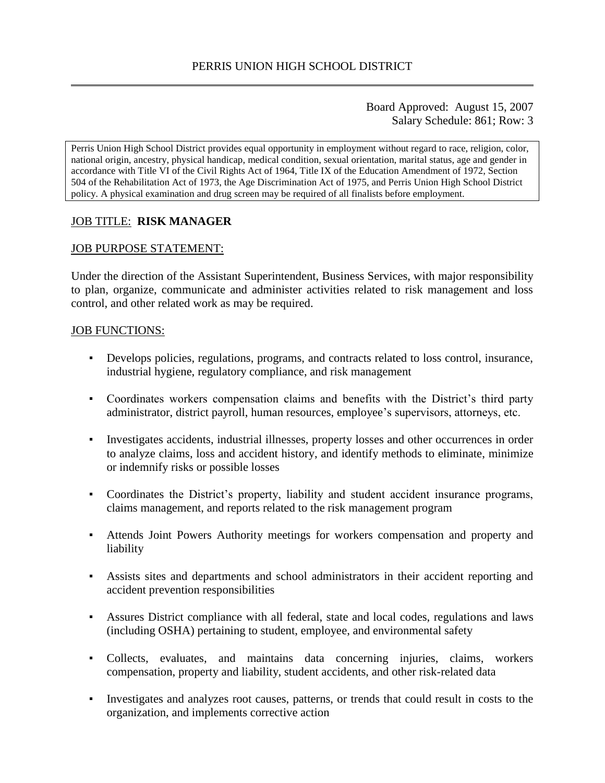Board Approved: August 15, 2007 Salary Schedule: 861; Row: 3

Perris Union High School District provides equal opportunity in employment without regard to race, religion, color, national origin, ancestry, physical handicap, medical condition, sexual orientation, marital status, age and gender in accordance with Title VI of the Civil Rights Act of 1964, Title IX of the Education Amendment of 1972, Section 504 of the Rehabilitation Act of 1973, the Age Discrimination Act of 1975, and Perris Union High School District policy. A physical examination and drug screen may be required of all finalists before employment.

## JOB TITLE: **RISK MANAGER**

#### JOB PURPOSE STATEMENT:

Under the direction of the Assistant Superintendent, Business Services, with major responsibility to plan, organize, communicate and administer activities related to risk management and loss control, and other related work as may be required.

#### JOB FUNCTIONS:

- Develops policies, regulations, programs, and contracts related to loss control, insurance, industrial hygiene, regulatory compliance, and risk management
- Coordinates workers compensation claims and benefits with the District's third party administrator, district payroll, human resources, employee's supervisors, attorneys, etc.
- Investigates accidents, industrial illnesses, property losses and other occurrences in order to analyze claims, loss and accident history, and identify methods to eliminate, minimize or indemnify risks or possible losses
- Coordinates the District's property, liability and student accident insurance programs, claims management, and reports related to the risk management program
- Attends Joint Powers Authority meetings for workers compensation and property and liability
- Assists sites and departments and school administrators in their accident reporting and accident prevention responsibilities
- Assures District compliance with all federal, state and local codes, regulations and laws (including OSHA) pertaining to student, employee, and environmental safety
- Collects, evaluates, and maintains data concerning injuries, claims, workers compensation, property and liability, student accidents, and other risk-related data
- Investigates and analyzes root causes, patterns, or trends that could result in costs to the organization, and implements corrective action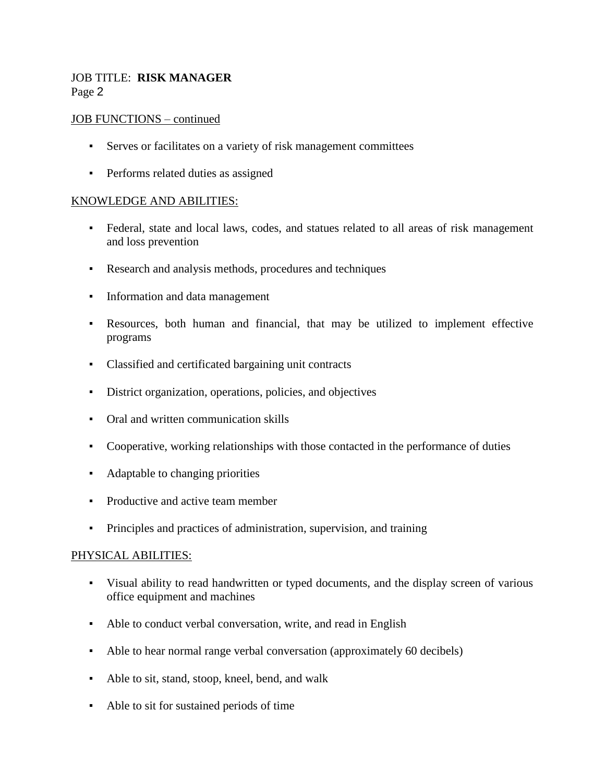# JOB TITLE: **RISK MANAGER** Page 2

## JOB FUNCTIONS – continued

- Serves or facilitates on a variety of risk management committees
- **•** Performs related duties as assigned

## KNOWLEDGE AND ABILITIES:

- Federal, state and local laws, codes, and statues related to all areas of risk management and loss prevention
- Research and analysis methods, procedures and techniques
- Information and data management
- Resources, both human and financial, that may be utilized to implement effective programs
- Classified and certificated bargaining unit contracts
- District organization, operations, policies, and objectives
- Oral and written communication skills
- Cooperative, working relationships with those contacted in the performance of duties
- Adaptable to changing priorities
- Productive and active team member
- Principles and practices of administration, supervision, and training

### PHYSICAL ABILITIES:

- Visual ability to read handwritten or typed documents, and the display screen of various office equipment and machines
- Able to conduct verbal conversation, write, and read in English
- Able to hear normal range verbal conversation (approximately 60 decibels)
- Able to sit, stand, stoop, kneel, bend, and walk
- Able to sit for sustained periods of time